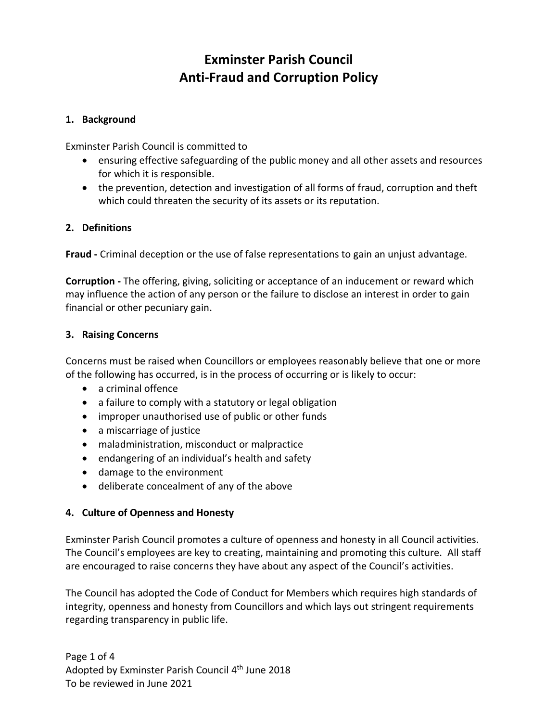# **Exminster Parish Council Anti-Fraud and Corruption Policy**

### **1. Background**

Exminster Parish Council is committed to

- ensuring effective safeguarding of the public money and all other assets and resources for which it is responsible.
- the prevention, detection and investigation of all forms of fraud, corruption and theft which could threaten the security of its assets or its reputation.

#### **2. Definitions**

**Fraud -** Criminal deception or the use of false representations to gain an unjust advantage.

**Corruption -** The offering, giving, soliciting or acceptance of an inducement or reward which may influence the action of any person or the failure to disclose an interest in order to gain financial or other pecuniary gain.

#### **3. Raising Concerns**

Concerns must be raised when Councillors or employees reasonably believe that one or more of the following has occurred, is in the process of occurring or is likely to occur:

- a criminal offence
- a failure to comply with a statutory or legal obligation
- improper unauthorised use of public or other funds
- a miscarriage of justice
- maladministration, misconduct or malpractice
- endangering of an individual's health and safety
- damage to the environment
- deliberate concealment of any of the above

#### **4. Culture of Openness and Honesty**

Exminster Parish Council promotes a culture of openness and honesty in all Council activities. The Council's employees are key to creating, maintaining and promoting this culture. All staff are encouraged to raise concerns they have about any aspect of the Council's activities.

The Council has adopted the Code of Conduct for Members which requires high standards of integrity, openness and honesty from Councillors and which lays out stringent requirements regarding transparency in public life.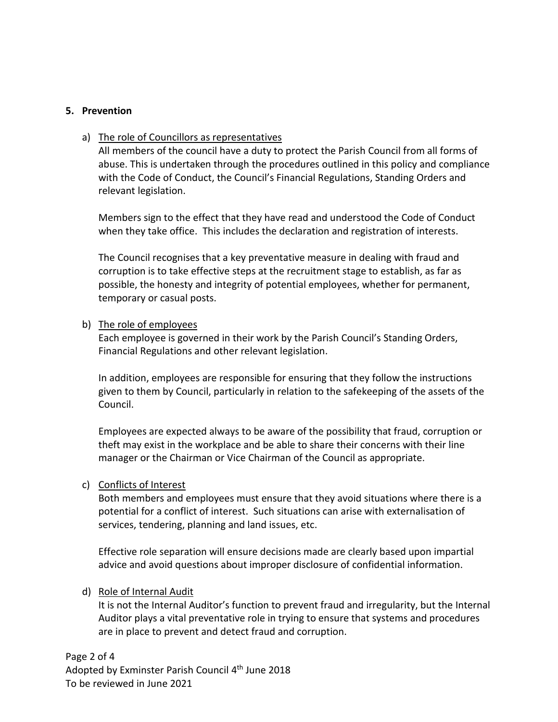#### **5. Prevention**

#### a) The role of Councillors as representatives

All members of the council have a duty to protect the Parish Council from all forms of abuse. This is undertaken through the procedures outlined in this policy and compliance with the Code of Conduct, the Council's Financial Regulations, Standing Orders and relevant legislation.

Members sign to the effect that they have read and understood the Code of Conduct when they take office. This includes the declaration and registration of interests.

The Council recognises that a key preventative measure in dealing with fraud and corruption is to take effective steps at the recruitment stage to establish, as far as possible, the honesty and integrity of potential employees, whether for permanent, temporary or casual posts.

#### b) The role of employees

Each employee is governed in their work by the Parish Council's Standing Orders, Financial Regulations and other relevant legislation.

In addition, employees are responsible for ensuring that they follow the instructions given to them by Council, particularly in relation to the safekeeping of the assets of the Council.

Employees are expected always to be aware of the possibility that fraud, corruption or theft may exist in the workplace and be able to share their concerns with their line manager or the Chairman or Vice Chairman of the Council as appropriate.

#### c) Conflicts of Interest

Both members and employees must ensure that they avoid situations where there is a potential for a conflict of interest. Such situations can arise with externalisation of services, tendering, planning and land issues, etc.

Effective role separation will ensure decisions made are clearly based upon impartial advice and avoid questions about improper disclosure of confidential information.

#### d) Role of Internal Audit

It is not the Internal Auditor's function to prevent fraud and irregularity, but the Internal Auditor plays a vital preventative role in trying to ensure that systems and procedures are in place to prevent and detect fraud and corruption.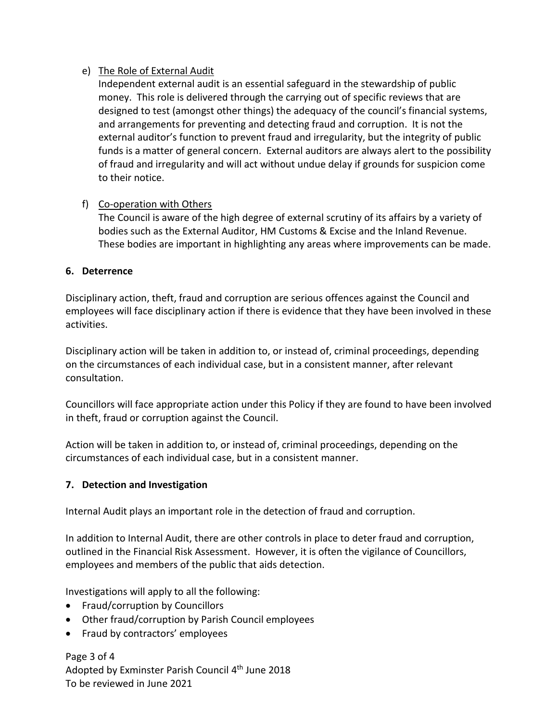## e) The Role of External Audit

Independent external audit is an essential safeguard in the stewardship of public money. This role is delivered through the carrying out of specific reviews that are designed to test (amongst other things) the adequacy of the council's financial systems, and arrangements for preventing and detecting fraud and corruption. It is not the external auditor's function to prevent fraud and irregularity, but the integrity of public funds is a matter of general concern. External auditors are always alert to the possibility of fraud and irregularity and will act without undue delay if grounds for suspicion come to their notice.

## f) Co-operation with Others

The Council is aware of the high degree of external scrutiny of its affairs by a variety of bodies such as the External Auditor, HM Customs & Excise and the Inland Revenue. These bodies are important in highlighting any areas where improvements can be made.

## **6. Deterrence**

Disciplinary action, theft, fraud and corruption are serious offences against the Council and employees will face disciplinary action if there is evidence that they have been involved in these activities.

Disciplinary action will be taken in addition to, or instead of, criminal proceedings, depending on the circumstances of each individual case, but in a consistent manner, after relevant consultation.

Councillors will face appropriate action under this Policy if they are found to have been involved in theft, fraud or corruption against the Council.

Action will be taken in addition to, or instead of, criminal proceedings, depending on the circumstances of each individual case, but in a consistent manner.

## **7. Detection and Investigation**

Internal Audit plays an important role in the detection of fraud and corruption.

In addition to Internal Audit, there are other controls in place to deter fraud and corruption, outlined in the Financial Risk Assessment. However, it is often the vigilance of Councillors, employees and members of the public that aids detection.

Investigations will apply to all the following:

- Fraud/corruption by Councillors
- Other fraud/corruption by Parish Council employees
- Fraud by contractors' employees

Page 3 of 4 Adopted by Exminster Parish Council 4<sup>th</sup> June 2018 To be reviewed in June 2021